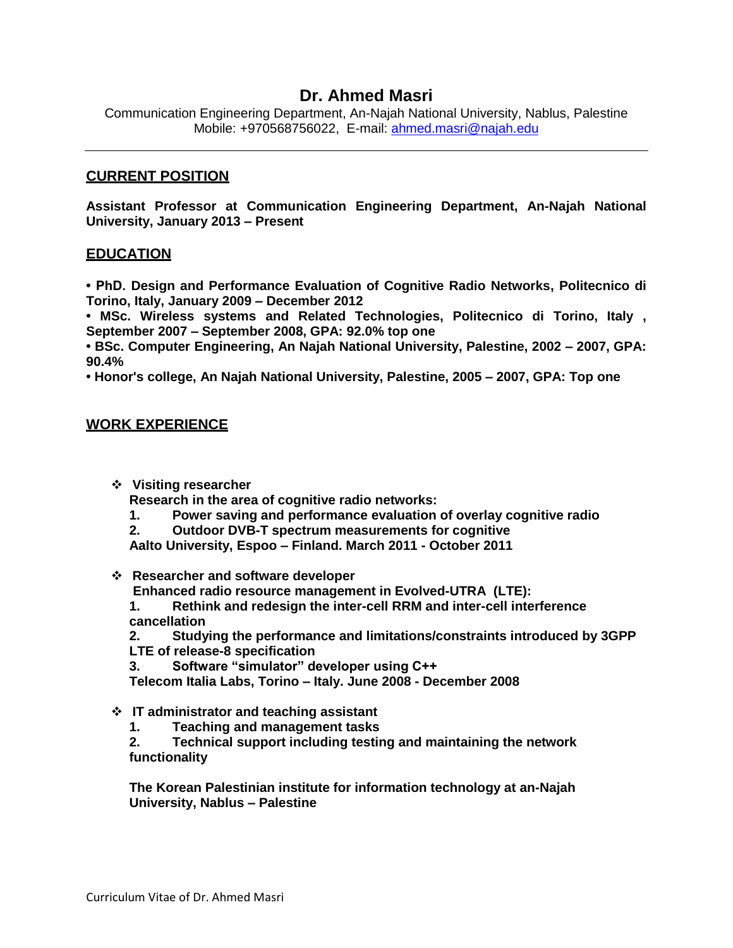# **Dr. Ahmed Masri**

Communication Engineering Department, An-Najah National University, Nablus, Palestine Mobile: +970568756022, E-mail: [ahmed.masri@najah.edu](mailto:ayham.jaaron@najah.edu)

### **CURRENT POSITION**

**Assistant Professor at Communication Engineering Department, An-Najah National University, January 2013 – Present**

#### **EDUCATION**

**• PhD. Design and Performance Evaluation of Cognitive Radio Networks, Politecnico di Torino, Italy, January 2009 – December 2012**

**• MSc. Wireless systems and Related Technologies, Politecnico di Torino, Italy , September 2007 – September 2008, GPA: 92.0% top one**

**• BSc. Computer Engineering, An Najah National University, Palestine, 2002 – 2007, GPA: 90.4%**

**• Honor's college, An Najah National University, Palestine, 2005 – 2007, GPA: Top one**

#### **WORK EXPERIENCE**

**Visiting researcher**

**Research in the area of cognitive radio networks:**

**1. Power saving and performance evaluation of overlay cognitive radio** 

**2. Outdoor DVB-T spectrum measurements for cognitive** 

**Aalto University, Espoo – Finland. March 2011 - October 2011**

**Researcher and software developer** 

**Enhanced radio resource management in Evolved-UTRA (LTE):** 

**1. Rethink and redesign the inter-cell RRM and inter-cell interference cancellation**

**2. Studying the performance and limitations/constraints introduced by 3GPP LTE of release-8 specification**

**3. Software "simulator" developer using C++**

**Telecom Italia Labs, Torino – Italy. June 2008 - December 2008**

- **IT administrator and teaching assistant**
	- **1. Teaching and management tasks**
	- **2. Technical support including testing and maintaining the network functionality**

**The Korean Palestinian institute for information technology at an-Najah University, Nablus – Palestine**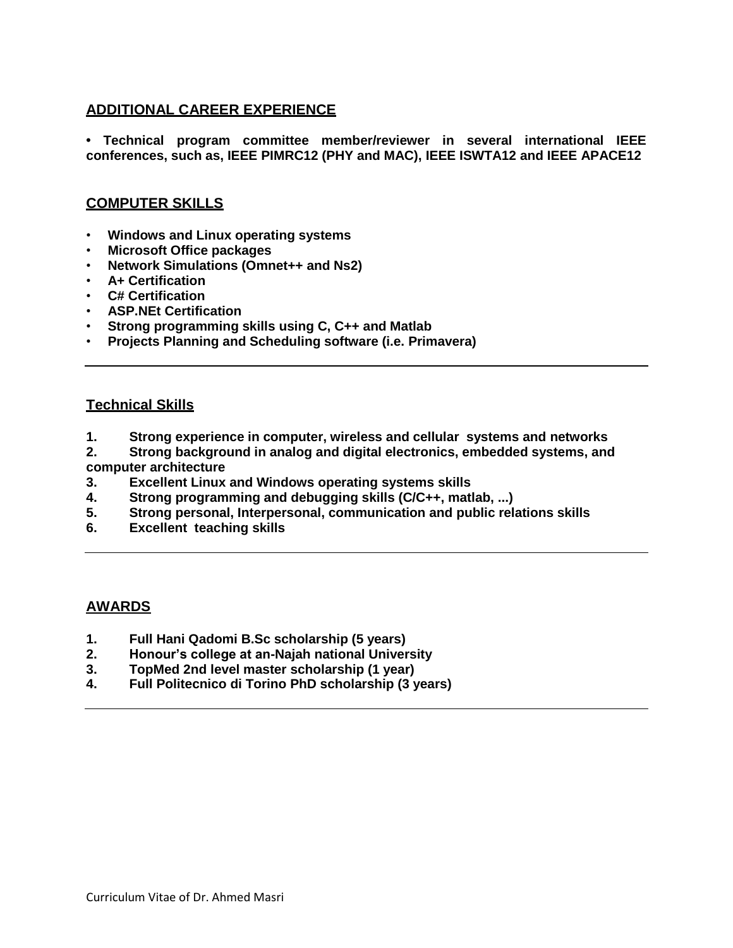# **ADDITIONAL CAREER EXPERIENCE**

**• Technical program committee member/reviewer in several international IEEE conferences, such as, IEEE PIMRC12 (PHY and MAC), IEEE ISWTA12 and IEEE APACE12**

# **COMPUTER SKILLS**

- **Windows and Linux operating systems**
- **Microsoft Office packages**
- **Network Simulations (Omnet++ and Ns2)**
- **A+ Certification**
- **C# Certification**
- **ASP.NEt Certification**
- **Strong programming skills using C, C++ and Matlab**
- **Projects Planning and Scheduling software (i.e. Primavera)**

### **Technical Skills**

- **1. Strong experience in computer, wireless and cellular systems and networks**
- **2. Strong background in analog and digital electronics, embedded systems, and computer architecture**
- **3. Excellent Linux and Windows operating systems skills**
- **4. Strong programming and debugging skills (C/C++, matlab, ...)**
- **5. Strong personal, Interpersonal, communication and public relations skills**
- **6. Excellent teaching skills**

# **AWARDS**

- **1. Full Hani Qadomi B.Sc scholarship (5 years)**
- **2. Honour's college at an-Najah national University**
- **3. TopMed 2nd level master scholarship (1 year)**
- **4. Full Politecnico di Torino PhD scholarship (3 years)**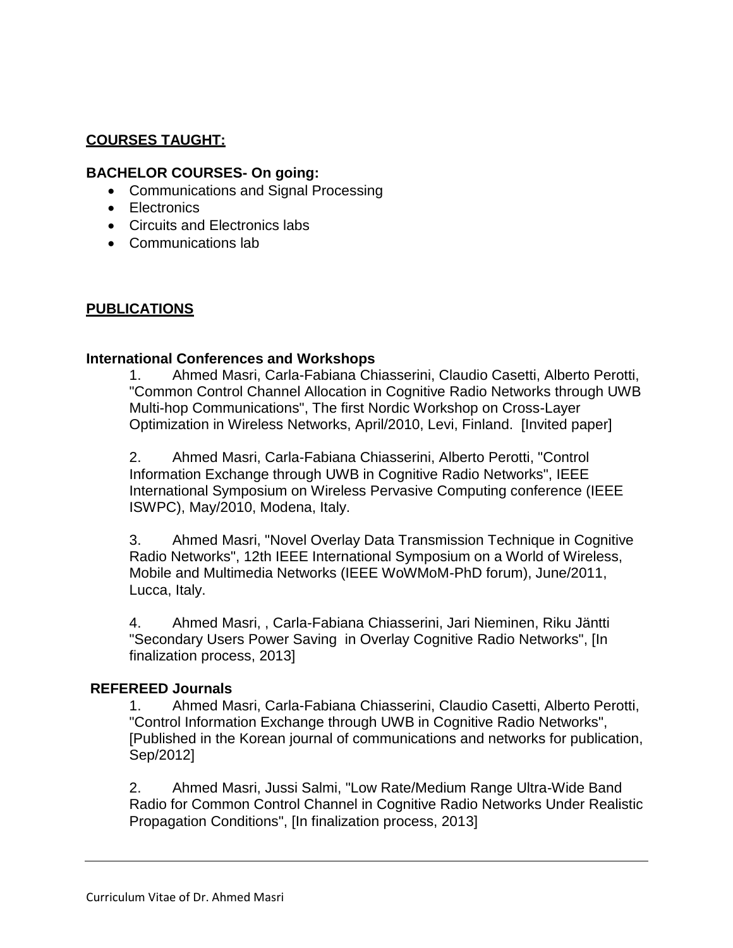# **COURSES TAUGHT:**

## **BACHELOR COURSES- On going:**

- Communications and Signal Processing
- Electronics
- Circuits and Electronics labs
- Communications lab

# **PUBLICATIONS**

### **International Conferences and Workshops**

1. Ahmed Masri, Carla-Fabiana Chiasserini, Claudio Casetti, Alberto Perotti, "Common Control Channel Allocation in Cognitive Radio Networks through UWB Multi-hop Communications", The first Nordic Workshop on Cross-Layer Optimization in Wireless Networks, April/2010, Levi, Finland. [Invited paper]

2. Ahmed Masri, Carla-Fabiana Chiasserini, Alberto Perotti, "Control Information Exchange through UWB in Cognitive Radio Networks", IEEE International Symposium on Wireless Pervasive Computing conference (IEEE ISWPC), May/2010, Modena, Italy.

3. Ahmed Masri, "Novel Overlay Data Transmission Technique in Cognitive Radio Networks", 12th IEEE International Symposium on a World of Wireless, Mobile and Multimedia Networks (IEEE WoWMoM-PhD forum), June/2011, Lucca, Italy.

4. Ahmed Masri, , Carla-Fabiana Chiasserini, Jari Nieminen, Riku Jäntti "Secondary Users Power Saving in Overlay Cognitive Radio Networks", [In finalization process, 2013]

### **REFEREED Journals**

1. Ahmed Masri, Carla-Fabiana Chiasserini, Claudio Casetti, Alberto Perotti, "Control Information Exchange through UWB in Cognitive Radio Networks", [Published in the Korean journal of communications and networks for publication, Sep/2012]

2. Ahmed Masri, Jussi Salmi, "Low Rate/Medium Range Ultra-Wide Band Radio for Common Control Channel in Cognitive Radio Networks Under Realistic Propagation Conditions", [In finalization process, 2013]